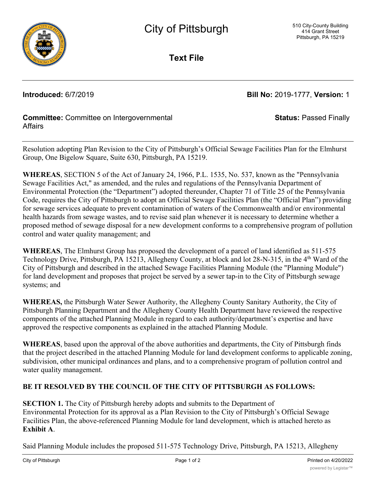

**Text File**

**Introduced:** 6/7/2019 **Bill No:** 2019-1777, **Version:** 1

**Status:** Passed Finally

## **Committee:** Committee on Intergovernmental **Affairs**

Resolution adopting Plan Revision to the City of Pittsburgh's Official Sewage Facilities Plan for the Elmhurst Group, One Bigelow Square, Suite 630, Pittsburgh, PA 15219.

**WHEREAS**, SECTION 5 of the Act of January 24, 1966, P.L. 1535, No. 537, known as the "Pennsylvania Sewage Facilities Act," as amended, and the rules and regulations of the Pennsylvania Department of Environmental Protection (the "Department") adopted thereunder, Chapter 71 of Title 25 of the Pennsylvania Code, requires the City of Pittsburgh to adopt an Official Sewage Facilities Plan (the "Official Plan") providing for sewage services adequate to prevent contamination of waters of the Commonwealth and/or environmental health hazards from sewage wastes, and to revise said plan whenever it is necessary to determine whether a proposed method of sewage disposal for a new development conforms to a comprehensive program of pollution control and water quality management; and

**WHEREAS**, The Elmhurst Group has proposed the development of a parcel of land identified as 511-575 Technology Drive, Pittsburgh, PA 15213, Allegheny County, at block and lot 28-N-315, in the 4<sup>th</sup> Ward of the City of Pittsburgh and described in the attached Sewage Facilities Planning Module (the "Planning Module") for land development and proposes that project be served by a sewer tap-in to the City of Pittsburgh sewage systems; and

**WHEREAS,** the Pittsburgh Water Sewer Authority, the Allegheny County Sanitary Authority, the City of Pittsburgh Planning Department and the Allegheny County Health Department have reviewed the respective components of the attached Planning Module in regard to each authority/department's expertise and have approved the respective components as explained in the attached Planning Module.

**WHEREAS**, based upon the approval of the above authorities and departments, the City of Pittsburgh finds that the project described in the attached Planning Module for land development conforms to applicable zoning, subdivision, other municipal ordinances and plans, and to a comprehensive program of pollution control and water quality management.

## **BE IT RESOLVED BY THE COUNCIL OF THE CITY OF PITTSBURGH AS FOLLOWS:**

**SECTION 1.** The City of Pittsburgh hereby adopts and submits to the Department of Environmental Protection for its approval as a Plan Revision to the City of Pittsburgh's Official Sewage Facilities Plan, the above-referenced Planning Module for land development, which is attached hereto as **Exhibit A**.

Said Planning Module includes the proposed 511-575 Technology Drive, Pittsburgh, PA 15213, Allegheny  $\overline{a}$